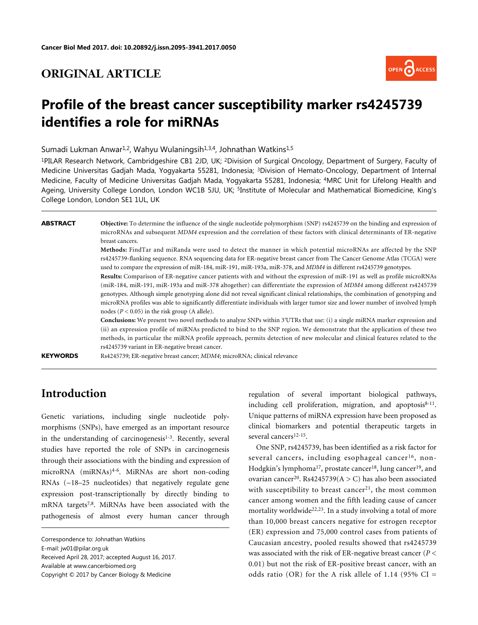### **ORIGINAL ARTICLE**



# **Profile of the breast cancer susceptibility marker rs4245739 identifies a role for miRNAs**

Sumadi Lukman Anwar<sup>1,2</sup>, Wahyu Wulaningsih<sup>1,3,4</sup>, Johnathan Watkins<sup>1,5</sup>

<sup>1</sup>PILAR Research Network, Cambridgeshire CB1 2JD, UK; <sup>2</sup>Division of Surgical Oncology, Department of Surgery, Faculty of Medicine Universitas Gadjah Mada, Yogyakarta 55281, Indonesia; <sup>3</sup>Division of Hemato-Oncology, Department of Internal Medicine, Faculty of Medicine Universitas Gadjah Mada, Yogyakarta 55281, Indonesia; <sup>4</sup>MRC Unit for Lifelong Health and Ageing, University College London, London WC1B 5JU, UK; <sup>5</sup>Institute of Molecular and Mathematical Biomedicine, King's College London, London SE1 1UL, UK

**ABSTRACT Objective:** To determine the influence of the single nucleotide polymorphism (SNP) rs4245739 on the binding and expression of microRNAs and subsequent *MDM4* expression and the correlation of these factors with clinical determinants of ER-negative breast cancers.

> **Methods:** FindTar and miRanda were used to detect the manner in which potential microRNAs are affected by the SNP rs4245739-flanking sequence. RNA sequencing data for ER-negative breast cancer from The Cancer Genome Atlas (TCGA) were used to compare the expression of miR-184, miR-191, miR-193a, miR-378, and *MDM4* in different rs4245739 genotypes.

> **Results:** Comparison of ER-negative cancer patients with and without the expression of miR-191 as well as profile microRNAs (miR-184, miR-191, miR-193a and miR-378 altogether) can differentiate the expression of *MDM4* among different rs4245739 genotypes. Although simple genotyping alone did not reveal significant clinical relationships, the combination of genotyping and microRNA profiles was able to significantly differentiate individuals with larger tumor size and lower number of involved lymph nodes (*P* < 0.05) in the risk group (A allele).

> **Conclusions:** We present two novel methods to analyze SNPs within 3′UTRs that use: (i) a single miRNA marker expression and (ii) an expression profile of miRNAs predicted to bind to the SNP region. We demonstrate that the application of these two methods, in particular the miRNA profile approach, permits detection of new molecular and clinical features related to the rs4245739 variant in ER-negative breast cancer.

**KEYWORDS** Rs4245739; ER-negative breast cancer; *MDM4*; microRNA; clinical relevance

# **Introduction**

Genetic variations, including single nucleotide polymorphisms (SNPs), have emerged as an important resource in the understanding of carcinogenesis<sup>[1](#page-7-0)[-3](#page-7-1)</sup>. Recently, several studies have reported the role of SNPs in carcinogenesis through their associations with the binding and expression of microRNA (miRNAs)[4-](#page-7-2)[6](#page-7-3) . MiRNAs are short non-coding RNAs (~18–25 nucleotides) that negatively regulate gene expression po[s](#page-7-4)[t-](#page-7-5)transcriptionally by directly binding to mRNA targets[7](#page-7-4)[,8](#page-7-5) . MiRNAs have been associated with the pathogenesis of almost every human cancer through

E-mail: jw01@pilar.org.uk

Received April 28, 2017; accepted August 16, 2017.

Available at www.cancerbiomed.org

regulation of several important biological pathways, including cell proliferation, migration, and apoptosis<sup>[8-](#page-7-5)[11](#page-7-6)</sup>. Unique patterns of miRNA expression have been proposed as clinical biomarkers and potential therapeutic targets in several cancers<sup>[12](#page-7-7)[-15](#page-7-8)</sup>.

One SNP, rs4245739, has been identified as a risk factor for several cancers, including esophageal cancer<sup>[16](#page-7-9)</sup>, non-Hodgkin's lymphoma<sup>[17](#page-7-10)</sup>, prostate cancer<sup>[18](#page-7-11)</sup>, lung cancer<sup>[19](#page-7-12)</sup>, and ovarian cancer<sup>[20](#page-7-13)</sup>. Rs4245739( $A > C$ ) has also been associated with susceptibility to breast cancer<sup>[21](#page-7-14)</sup>, the most common cancer among women and the fifth leading cause of cancer mortality worldwide<sup>[22,](#page-8-0)[23](#page-8-1)</sup>. In a study involving a total of more than 10,000 breast cancers negative for estrogen receptor (ER) expression and 75,000 control cases from patients of Caucasian ancestry, pooled results showed that rs4245739 was associated with the risk of ER-negative breast cancer (*P* < 0.01) but not the risk of ER-positive breast cancer, with an odds ratio (OR) for the A risk allele of  $1.14$  (95% CI =

Correspondence to: Johnathan Watkins

Copyright © 2017 by Cancer Biology & Medicine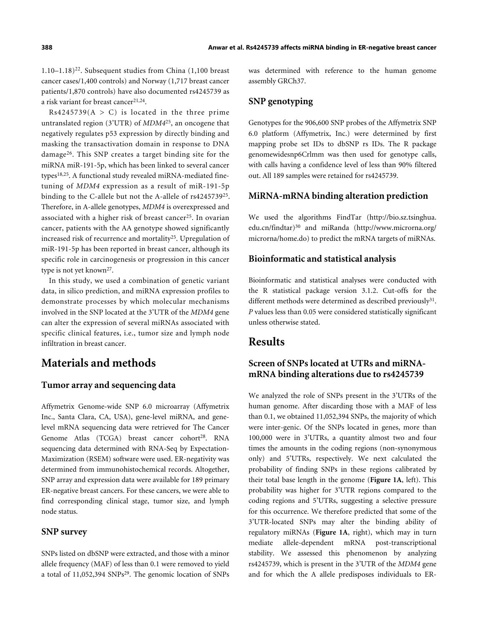1.10–1.18)[22](#page-8-0). Subsequent studies from China (1,100 breast cancer cases/1,400 controls) and Norway (1,717 breast cancer patients/1,870 controls) have also documented rs4245739 as a risk variant for breast cancer<sup>[21](#page-7-14)[,24](#page-8-2)</sup>.

 $Rs4245739(A > C)$  is located in the three prime untranslated region (3'UTR) of *MDM4*[25](#page-8-3), an oncogene that negatively regulates p53 expression by directly binding and masking the transactivation domain in response to DNA damage[26](#page-8-4). This SNP creates a target binding site for the miRNA miR-191-5p, which has been linked to several cancer types[18,](#page-7-11)[25](#page-8-3). A functional study revealed miRNA-mediated finetuning of *MDM4* expression as a result of miR-191-5p binding to the C-allele but not the A-allele of rs4245739[25](#page-8-3) . Therefore, in A-allele genotypes, *MDM4* is overexpressed and associated with a higher risk of breast cancer<sup>[25](#page-8-3)</sup>. In ovarian cancer, patients with the AA genotype showed significantly increased risk of recurrence and mortality[25](#page-8-3). Upregulation of miR-191-5p has been reported in breast cancer, although its specific role in carcinogenesis or progression in this cancer type is not yet known<sup>[27](#page-8-5)</sup>.

In this study, we used a combination of genetic variant data, in silico prediction, and miRNA expression profiles to demonstrate processes by which molecular mechanisms involved in the SNP located at the 3'UTR of the *MDM4* gene can alter the expression of several miRNAs associated with specific clinical features, i.e., tumor size and lymph node infiltration in breast cancer.

### **Materials and methods**

#### **Tumor array and sequencing data**

Affymetrix Genome-wide SNP 6.0 microarray (Affymetrix Inc., Santa Clara, CA, USA), gene-level miRNA, and genelevel mRNA sequencing data were retrieved for The Cancer Genome Atlas (TCGA) breast cancer cohort<sup>[28](#page-8-6)</sup>. RNA sequencing data determined with RNA-Seq by Expectation-Maximization (RSEM) software were used. ER-negativity was determined from immunohistochemical records. Altogether, SNP array and expression data were available for 189 primary ER-negative breast cancers. For these cancers, we were able to find corresponding clinical stage, tumor size, and lymph node status.

#### **SNP survey**

SNPs listed on dbSNP were extracted, and those with a minor allele frequency (MAF) of less than 0.1 were removed to yield a total of 11,052,394 SNPs<sup>[29](#page-8-7)</sup>. The genomic location of SNPs was determined with reference to the human genome assembly GRCh37.

#### **SNP genotyping**

Genotypes for the 906,600 SNP probes of the Affymetrix SNP 6.0 platform (Affymetrix, Inc.) were determined by first mapping probe set IDs to dbSNP rs IDs. The R package genomewidesnp6Crlmm was then used for genotype calls, with calls having a confidence level of less than 90% filtered out. All 189 samples were retained for rs4245739.

#### **MiRNA-mRNA binding alteration prediction**

We used the algorithms FindTar [\(http://bio.sz.tsinghua.](http://bio.sz.tsinghua.edu.cn/findtar) [edu.cn/findtar](http://bio.sz.tsinghua.edu.cn/findtar)) [30](#page-8-8) and miRanda [\(http://www.microrna.org/](http://www.microrna.org/microrna/home.do) [microrna/home.do](http://www.microrna.org/microrna/home.do)) to predict the mRNA targets of miRNAs.

#### **Bioinformatic and statistical analysis**

Bioinformatic and statistical analyses were conducted with the R statistical package version 3.1.2. Cut-offs for the different methods were determined as described previously<sup>[31](#page-8-9)</sup>. *P* values less than 0.05 were considered statistically significant unless otherwise stated.

### **Results**

### **Screen of SNPs located at UTRs and miRNAmRNA binding alterations due to rs4245739**

We analyzed the role of SNPs present in the 3'UTRs of the human genome. After discarding those with a MAF of less than 0.1, we obtained 11,052,394 SNPs, the majority of which were inter-genic. Of the SNPs located in genes, more than 100,000 were in 3'UTRs, a quantity almost two and four times the amounts in the coding regions (non-synonymous only) and 5'UTRs, respectively. We next calculated the probability of finding SNPs in these regions calibrated by their total base length in the genome (**[Figure 1A](#page-2-0)**, left). This probability was higher for 3'UTR regions compared to the coding regions and 5'UTRs, suggesting a selective pressure for this occurrence. We therefore predicted that some of the 3'UTR-located SNPs may alter the binding ability of regulatory miRNAs (**[Figure 1A](#page-2-0)**, right), which may in turn mediate allele-dependent mRNA post-transcriptional stability. We assessed this phenomenon by analyzing rs4245739, which is present in the 3'UTR of the *MDM4* gene and for which the A allele predisposes individuals to ER-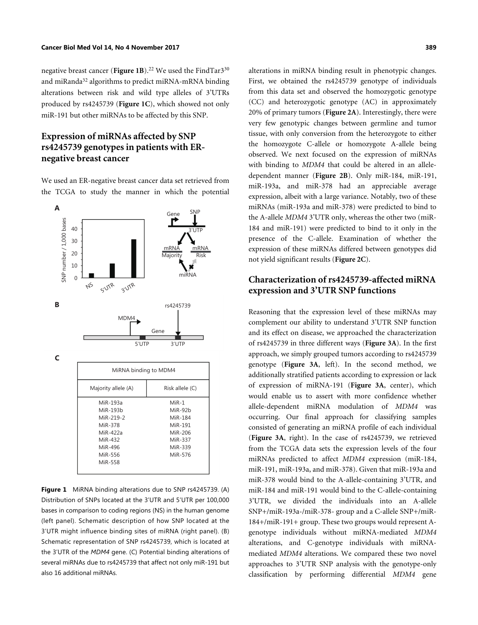negative breast cancer (**[Figure 1B](#page-2-0)**).<sup>[22](#page-8-0)</sup> We used the FindTar3<sup>[30](#page-8-8)</sup> and miRanda<sup>[32](#page-8-10)</sup> algorithms to predict miRNA-mRNA binding alterations between risk and wild type alleles of 3'UTRs produced by rs4245739 (**[Figure 1C](#page-2-0)**), which showed not only miR-191 but other miRNAs to be affected by this SNP.

### **Expression of miRNAs affected by SNP rs4245739 genotypes in patients with ERnegative breast cancer**

We used an ER-negative breast cancer data set retrieved from the TCGA to study the manner in which the potential



<span id="page-2-0"></span>**Figure 1** MiRNA binding alterations due to SNP rs4245739. (A) Distribution of SNPs located at the 3'UTR and 5'UTR per 100,000 bases in comparison to coding regions (NS) in the human genome (left panel). Schematic description of how SNP located at the 3'UTR might influence binding sites of miRNA (right panel). (B) Schematic representation of SNP rs4245739, which is located at the 3'UTR of the *MDM4* gene. (C) Potential binding alterations of several miRNAs due to rs4245739 that affect not only miR-191 but also 16 additional miRNAs.

alterations in miRNA binding result in phenotypic changes. First, we obtained the rs4245739 genotype of individuals from this data set and observed the homozygotic genotype (CC) and heterozygotic genotype (AC) in approximately 20% of primary tumors (**[Figure 2A](#page-3-0)**). Interestingly, there were very few genotypic changes between germline and tumor tissue, with only conversion from the heterozygote to either the homozygote C-allele or homozygote A-allele being observed. We next focused on the expression of miRNAs with binding to *MDM4* that could be altered in an alleledependent manner (**[Figure 2B](#page-3-0)**). Only miR-184, miR-191, miR-193a, and miR-378 had an appreciable average expression, albeit with a large variance. Notably, two of these miRNAs (miR-193a and miR-378) were predicted to bind to the A-allele *MDM4* 3'UTR only, whereas the other two (miR-184 and miR-191) were predicted to bind to it only in the presence of the C-allele. Examination of whether the expression of these miRNAs differed between genotypes did not yield significant results (**[Figure 2C](#page-3-0)**).

#### **Characterization of rs4245739-affected miRNA expression and 3'UTR SNP functions**

Reasoning that the expression level of these miRNAs may complement our ability to understand 3'UTR SNP function and its effect on disease, we approached the characterization of rs4245739 in three different ways (**[Figure 3A](#page-4-0)**). In the first approach, we simply grouped tumors according to rs4245739 genotype (**[Figure 3A](#page-4-0)**, left). In the second method, we additionally stratified patients according to expression or lack of expression of miRNA-191 (**[Figure 3A](#page-4-0)**, center), which would enable us to assert with more confidence whether allele-dependent miRNA modulation of *MDM4* was occurring. Our final approach for classifying samples consisted of generating an miRNA profile of each individual (**[Figure 3A](#page-4-0)**, right). In the case of rs4245739, we retrieved from the TCGA data sets the expression levels of the four miRNAs predicted to affect *MDM4* expression (miR-184, miR-191, miR-193a, and miR-378). Given that miR-193a and miR-378 would bind to the A-allele-containing 3'UTR, and miR-184 and miR-191 would bind to the C-allele-containing 3'UTR, we divided the individuals into an A-allele SNP+/miR-193a-/miR-378- group and a C-allele SNP+/miR-184+/miR-191+ group. These two groups would represent Agenotype individuals without miRNA-mediated *MDM4* alterations, and C-genotype individuals with miRNAmediated *MDM4* alterations. We compared these two novel approaches to 3'UTR SNP analysis with the genotype-only classification by performing differential *MDM4* gene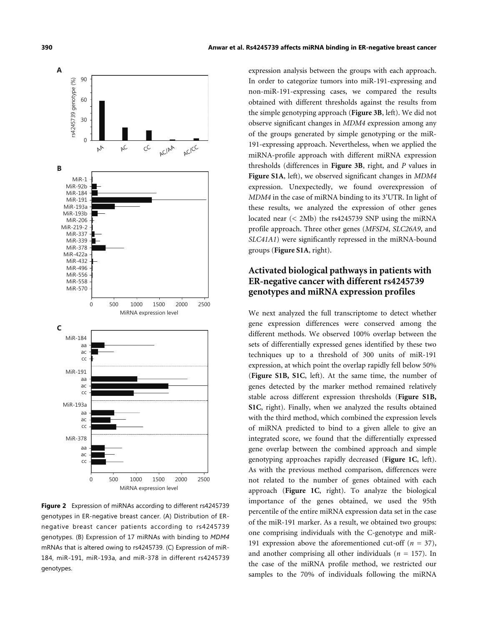

<span id="page-3-0"></span>**Figure 2** Expression of miRNAs according to different rs4245739 genotypes in ER-negative breast cancer. (A) Distribution of ERnegative breast cancer patients according to rs4245739 genotypes. (B) Expression of 17 miRNAs with binding to *MDM4* mRNAs that is altered owing to rs4245739. (C) Expression of miR-184, miR-191, miR-193a, and miR-378 in different rs4245739 genotypes.

expression analysis between the groups with each approach. In order to categorize tumors into miR-191-expressing and non-miR-191-expressing cases, we compared the results obtained with different thresholds against the results from the simple genotyping approach (**[Figure 3B](#page-4-0)**, left). We did not observe significant changes in *MDM4* expression among any of the groups generated by simple genotyping or the miR-191-expressing approach. Nevertheless, when we applied the miRNA-profile approach with different miRNA expression thresholds (differences in **[Figure 3B](#page-4-0)**, right, and *P* values in **[Figure S1A](#page-2-0)**, left), we observed significant changes in *MDM4* expression. Unexpectedly, we found overexpression of *MDM4* in the case of miRNA binding to its 3'UTR. In light of these results, we analyzed the expression of other genes located near (< 2Mb) the rs4245739 SNP using the miRNA profile approach. Three other genes (*MFSD4*, *SLC26A9*, and *SLC41A1*) were significantly repressed in the miRNA-bound groups (**[Figure S1A](#page-2-0)**, right).

### **Activated biological pathways in patients with ER-negative cancer with different rs4245739 genotypes and miRNA expression profiles**

We next analyzed the full transcriptome to detect whether gene expression differences were conserved among the different methods. We observed 100% overlap between the sets of differentially expressed genes identified by these two techniques up to a threshold of 300 units of miR-191 [expression, a](#page-2-0)t [whic](#page-2-0)h point the overlap rapidly fell below 50% (**[Figure S1B](#page-2-0), [S1C](#page-2-0)**, left). At the same time, the number of genes detected by the marker method remain[ed relativel](#page-2-0)y [stabl](#page-2-0)e across different expression thresholds (**[Figure S1B](#page-2-0), [S1C](#page-2-0)**, right). Finally, when we analyzed the results obtained with the third method, which combined the expression levels of miRNA predicted to bind to a given allele to give an integrated score, we found that the differentially expressed gene overlap between the combined appr[oach and](#page-2-0) simple genotyping approaches rapidly decreased (**[Figure 1C](#page-2-0)**, left). As with the previous method comparison, differences were not related [to the n](#page-2-0)umber of genes obtained with each approach (**[Figure 1C](#page-2-0)**, right). To analyze the biological importance of the genes obtained, we used the 95th percentile of the entire miRNA expression data set in the case of the miR-191 marker. As a result, we obtained two groups: one comprising individuals with the C-genotype and miR-191 expression above the aforementioned cut-off  $(n = 37)$ , and another comprising all other individuals (*n* = 157). In the case of the miRNA profile method, we restricted our samples to the 70% of individuals following the miRNA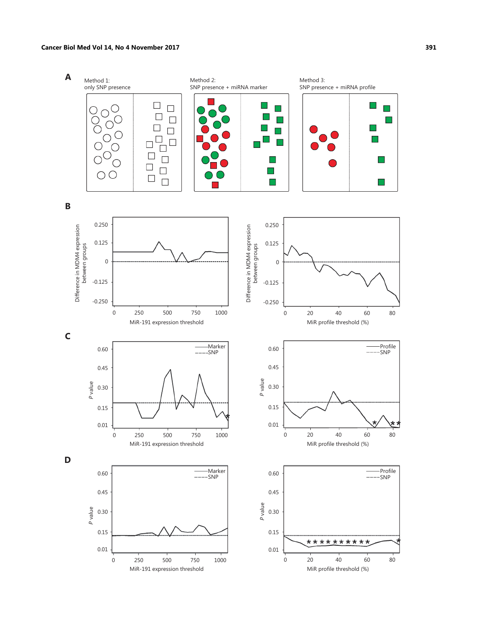#### **Cancer Biol Med Vol 14, No 4 November 2017 391**

<span id="page-4-0"></span>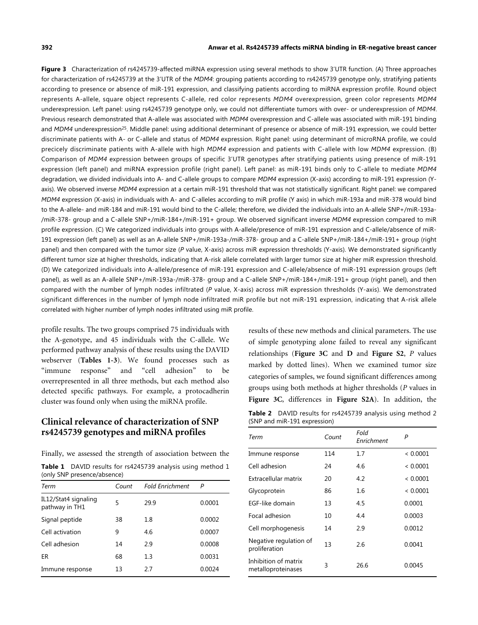#### **392 Anwar et al. Rs4245739 affects miRNA binding in ER-negative breast cancer**

**Figure 3** Characterization of rs4245739-affected miRNA expression using several methods to show 3'UTR function. (A) Three approaches for characterization of rs4245739 at the 3'UTR of the *MDM4*: grouping patients according to rs4245739 genotype only, stratifying patients according to presence or absence of miR-191 expression, and classifying patients according to miRNA expression profile. Round object represents A-allele, square object represents C-allele, red color represents *MDM4* overexpression, green color represents *MDM4* underexpression. Left panel: using rs4245739 genotype only, we could not differentiate tumors with over- or underexpression of *MDM4*. Previous research demonstrated that A-allele was associated with *MDM4* overexpression and C-allele was associated with miR-191 binding and *MDM4* underexpression<sup>[25](#page-8-3)</sup>. Middle panel: using additional determinant of presence or absence of miR-191 expression, we could better discriminate patients with A- or C-allele and status of *MDM4* expression. Right panel: using determinant of microRNA profile, we could precicely discriminate patients with A-allele with high *MDM4* expression and patients with C-allele with low *MDM4* expression. (B) Comparison of *MDM4* expression between groups of specific 3'UTR genotypes after stratifying patients using presence of miR-191 expression (left panel) and miRNA expression profile (right panel). Left panel: as miR-191 binds only to C-allele to mediate *MDM4* degradation, we divided individuals into A- and C-allele groups to compare *MDM4* expression (X-axis) according to miR-191 expression (Yaxis). We observed inverse *MDM4* expression at a certain miR-191 threshold that was not statistically significant. Right panel: we compared *MDM4* expression (X-axis) in individuals with A- and C-alleles according to miR profile (Y axis) in which miR-193a and miR-378 would bind to the A-allele- and miR-184 and miR-191 would bind to the C-allele; therefore, we divided the individuals into an A-allele SNP+/miR-193a- /miR-378- group and a C-allele SNP+/miR-184+/miR-191+ group. We observed significant inverse *MDM4* expression compared to miR profile expression. (C) We categorized individuals into groups with A-allele/presence of miR-191 expression and C-allele/absence of miR-191 expression (left panel) as well as an A-allele SNP+/miR-193a-/miR-378- group and a C-allele SNP+/miR-184+/miR-191+ group (right panel) and then compared with the tumor size (*P* value, X-axis) across miR expression thresholds (Y-axis). We demonstrated significantly different tumor size at higher thresholds, indicating that A-risk allele correlated with larger tumor size at higher miR expression threshold. (D) We categorized individuals into A-allele/presence of miR-191 expression and C-allele/absence of miR-191 expression groups (left panel), as well as an A-allele SNP+/miR-193a-/miR-378- group and a C-allele SNP+/miR-184+/miR-191+ group (right panel), and then compared with the number of lymph nodes infiltrated (*P* value, X-axis) across miR expression thresholds (Y-axis). We demonstrated significant differences in the number of lymph node infiltrated miR profile but not miR-191 expression, indicating that A-risk allele correlated with higher number of lymph nodes infiltrated using miR profile.

profile results. The two groups comprised 75 individuals with the A-genotype, and 45 individuals with the C-allele. We performed pathway analysis of these results using the DAVID webserver (**[Tables](#page-5-0) 1[-3](#page-6-0)**). We found processes such as "immune response" and "cell adhesion" to be overrepresented in all three methods, but each method also detected specific pathways. For example, a protocadherin cluster was found only when using the miRNA profile.

#### **Clinical relevance of characterization of SNP rs4245739 genotypes and miRNA profiles**

Finally, we assessed the strength of association between the

<span id="page-5-0"></span>

| <b>Table 1</b> DAVID results for rs4245739 analysis using method 1 |  |  |  |
|--------------------------------------------------------------------|--|--|--|
| (only SNP presence/absence)                                        |  |  |  |

| Term                                   | Count | <b>Fold Enrichment</b> | P      |
|----------------------------------------|-------|------------------------|--------|
| IL12/Stat4 signaling<br>pathway in TH1 | 5     | 29.9                   | 0.0001 |
| Signal peptide                         | 38    | 1.8                    | 0.0002 |
| Cell activation                        | 9     | 4.6                    | 0.0007 |
| Cell adhesion                          | 14    | 2.9                    | 0.0008 |
| ER                                     | 68    | 1.3                    | 0.0031 |
| Immune response                        | 13    | 2.7                    | 0.0024 |

results of these new methods and clinical parameters. The use of simple genotyping alone failed to reveal any significant relationships (**[Figure 3C](#page-4-0)** and **[D](#page-4-0)** and **[Figure S2](#page-3-0)**, *P* values marked by dotted lines). When we examined tumor size categories of samples, we found significant differences among [groups usi](#page-4-0)ng both methods [at higher th](#page-3-0)resholds (*P* values in **[Figure 3C](#page-4-0)**, differences in **[Figure S2A](#page-3-0)**). In addition, the **Table 2** DAVID results for rs4245739 analysis using method 2 (SNP and miR-191 expression)

| Term                                       | Count | Fold<br>Enrichment | P        |
|--------------------------------------------|-------|--------------------|----------|
| Immune response                            | 114   | 1.7                | < 0.0001 |
| Cell adhesion                              | 24    | 4.6                | < 0.0001 |
| Extracellular matrix                       | 20    | 4.2                | < 0.0001 |
| Glycoprotein                               | 86    | 1.6                | < 0.0001 |
| EGF-like domain                            | 13    | 4.5                | 0.0001   |
| Focal adhesion                             | 10    | 4.4                | 0.0003   |
| Cell morphogenesis                         | 14    | 2.9                | 0.0012   |
| Negative regulation of<br>proliferation    | 13    | 2.6                | 0.0041   |
| Inhibition of matrix<br>metalloproteinases | 3     | 26.6               | 0.0045   |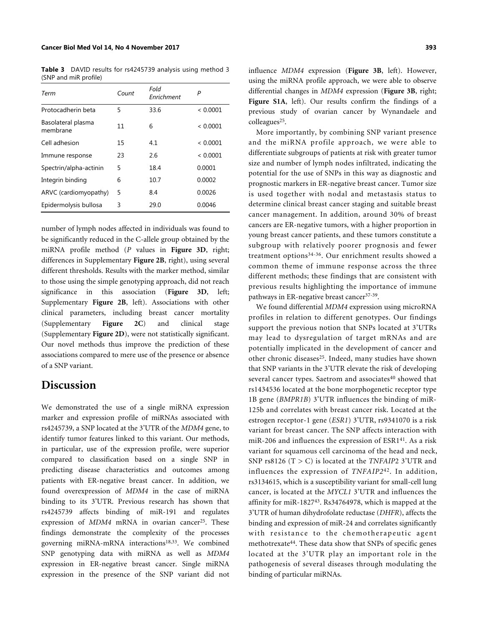<span id="page-6-0"></span>**Table 3** DAVID results for rs4245739 analysis using method 3 (SNP and miR profile)

| Term                           | Count | Fold<br>Enrichment | P        |
|--------------------------------|-------|--------------------|----------|
| Protocadherin beta             | 5     | 33.6               | < 0.0001 |
| Basolateral plasma<br>membrane | 11    | 6                  | < 0.0001 |
| Cell adhesion                  | 15    | 4.1                | < 0.0001 |
| Immune response                | 23    | 2.6                | < 0.0001 |
| Spectrin/alpha-actinin         | 5     | 18.4               | 0.0001   |
| Integrin binding               | 6     | 10.7               | 0.0002   |
| ARVC (cardiomyopathy)          | 5     | 8.4                | 0.0026   |
| Epidermolysis bullosa          | 3     | 29.0               | 0.0046   |

number of lymph nodes affected in individuals was found to be significantly reduced in the C-allele group obtained by the miRNA profile method (*P* values in **[Figure 3D](#page-4-0)**, right; differences in Supplementary **[Figure 2B](#page-3-0)**, right), using several different thresholds. Results with the marker method, similar to those using the simple genotyping approach, did not reach significance in this association (**[Figure 3](#page-4-0)D**, left; Supplementary **[Figure 2B](#page-3-0)**, left). Associations with other clinical parameters, including breast cancer mortality (Supplementary **[Figure](#page-3-0) 2C**) and clinical stage (Supplementary **[Figure 2D](#page-3-0)**), were not statistically significant. Our novel methods thus improve the prediction of these associations compared to mere use of the presence or absence of a SNP variant.

### **Discussion**

We demonstrated the use of a single miRNA expression marker and expression profile of miRNAs associated with rs4245739, a SNP located at the 3'UTR of the *MDM4* gene, to identify tumor features linked to this variant. Our methods, in particular, use of the expression profile, were superior compared to classification based on a single SNP in predicting disease characteristics and outcomes among patients with ER-negative breast cancer. In addition, we found overexpression of *MDM4* in the case of miRNA binding to its 3'UTR. Previous research has shown that rs4245739 affects binding of miR-191 and [re](#page-8-3)gulates expression of *MDM4* mRNA in ovarian cancer<sup>[25](#page-8-3)</sup>. These findings demonstrate the complexit[y](#page-7-11) [of](#page-8-11) the processes governing miRNA-mRNA interactions<sup>[18,](#page-7-11)[33](#page-8-11)</sup>. We combined SNP genotyping data with miRNA as well as *MDM4* expression in ER-negative breast cancer. Single miRNA expression in the presence of the SNP variant did not influence *MDM4* expression (**[Figure 3B](#page-4-0)**, left). However, using the miRNA profile approach, we were able to observe differential changes in *MDM4* expression (**[Figure 3B](#page-4-0)**, right; **[Figure S1A](#page-2-0)**, left). Our results confirm the findings of a previous study of ovarian cancer by Wynandaele and colleagues<sup>[25](#page-8-3)</sup>.

More importantly, by combining SNP variant presence and the miRNA profile approach, we were able to differentiate subgroups of patients at risk with greater tumor size and number of lymph nodes infiltrated, indicating the potential for the use of SNPs in this way as diagnostic and prognostic markers in ER-negative breast cancer. Tumor size is used together with nodal and metastasis status to determine clinical breast cancer staging and suitable breast cancer management. In addition, around 30% of breast cancers are ER-negative tumors, with a higher proportion in young breast cancer patients, and these tumors constitute a subgroup with relatively poorer prognosis and fewer treatment options[34](#page-8-12)[-36](#page-8-13). Our enrichment results showed a common theme of immune response across the three different methods; these findings that are consistent with previous results highlighting the importance of immune pathways in ER-negative breast cancer<sup>[37](#page-8-14)-[39](#page-8-15)</sup>.

We found differential *MDM4* expression using microRNA profiles in relation to different genotypes. Our findings support the previous notion that SNPs located at 3'UTRs may lead to dysregulation of target mRNAs and are potentially implicated in the development of cancer and other chronic diseases<sup>[25](#page-8-3)</sup>. Indeed, many studies have shown that SNP variants in the 3'UTR elevate the risk of developing several cancer types. Saetrom and associates<sup>[40](#page-8-16)</sup> showed that rs1434536 located at the bone morphogenetic receptor type 1B gene (*BMPR1B*) 3'UTR influences the binding of miR-125b and correlates with breast cancer risk. Located at the estrogen receptor-1 gene (*ESR1*) 3'UTR, rs9341070 is a risk variant for breast cancer. The SNP affects interaction with miR-206 and influences the expression of ESR1[41](#page-8-17). As a risk variant for squamous cell carcinoma of the head and neck, SNP rs8126 (T > C) is located at the *TNFAIP*2 3'UTR and influences the expression of *TNFAIP2*[42](#page-8-18). In addition, rs3134615, which is a susceptibility variant for small-cell lung cancer, is located at the *MYCL1* 3'UTR and influences the affinity for miR-1827[43](#page-8-19). Rs34764978, which is mapped at the 3'UTR of human dihydrofolate reductase (*DHFR*), affects the binding and expression of miR-24 and correlates significantly with resistance to the chemotherapeutic agent methotrexate[44](#page-8-20). These data show that SNPs of specific genes located at the 3'UTR play an important role in the pathogenesis of several diseases through modulating the binding of particular miRNAs.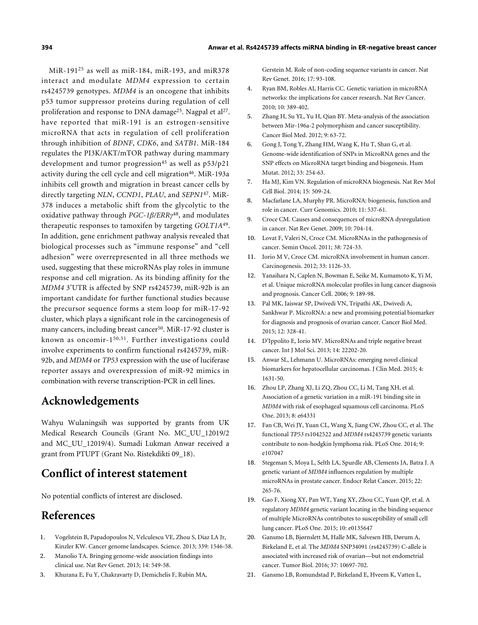MiR-191[25](#page-8-3) as well as miR-184, miR-193, and miR378 interact and modulate *MDM4* expression to certain rs4245739 genotypes. *MDM4* is an oncogene that inhibits p53 tumor suppressor proteins during regulation of cell proliferation and response to DNA damage<sup>[25](#page-8-3)</sup>. Nagpal et al<sup>[27](#page-8-5)</sup>. have reported that miR-191 is an estrogen-sensitive microRNA that acts in regulation of cell proliferation through inhibition of *BDNF*, *CDK6*, and *SATB1*. MiR-184 regulates the PI3K/AKT/mTOR pathway during mammary development and tumor progression<sup>[45](#page-8-21)</sup> as well as  $p53/p21$ activity during the cell cycle and cell migration<sup>[46](#page-8-22)</sup>. MiR-193a inhibits cell growth and migration in breast cancer cells by directly targeting *NLN*, *CCND1*, *PLAU*, and *SEPN1*[47](#page-8-23). MiR-378 induces a metabolic shift from the glycolytic to the oxidative pathway through *PGC*-*1β/ERRγ* [48](#page-8-24), and modulates therapeutic responses to tamoxifen by targeting *GOLT1A*[49](#page-8-25) . In addition, gene enrichment pathway analysis revealed that biological processes such as "immune response" and "cell adhesion" were overrepresented in all three methods we used, suggesting that these microRNAs play roles in immune response and cell migration. As its binding affinity for the *MDM4* 3'UTR is affected by SNP rs4245739, miR-92b is an important candidate for further functional studies because the precursor sequence forms a stem loop for miR-17-92 cluster, which plays a significant role in the carcinogenesis of many cancers, including breast cancer<sup>[50](#page-8-26)</sup>. MiR-17-92 cluster is known as oncomir-1[50](#page-8-26),[51](#page-8-27). Further investigations could involve experiments to confirm functional rs4245739, miR-92b, and *MDM4* or *TP53* expression with the use of luciferase reporter assays and overexpression of miR-92 mimics in combination with reverse transcription-PCR in cell lines.

### **Acknowledgements**

Wahyu Wulaningsih was supported by grants from UK Medical Research Councils (Grant No. MC\_UU\_12019/2 and MC\_UU\_12019/4). Sumadi Lukman Anwar received a grant from PTUPT (Grant No. Ristekdikti 09\_18).

# **Conflict of interest statement**

No potential conflicts of interest are disclosed.

# **References**

- <span id="page-7-0"></span>Vogelstein B, Papadopoulos N, Velculescu VE, Zhou S, Diaz LA Jr, Kinzler KW. Cancer genome landscapes. Science. 2013; 339: 1546-58. 1.
- Manolio TA. Bringing genome-wide association findings into clinical use. Nat Rev Genet. 2013; 14: 549-58. 2.
- <span id="page-7-1"></span>3. Khurana E, Fu Y, Chakravarty D, Demichelis F, Rubin MA,

Gerstein M. Role of non-coding sequence variants in cancer. Nat Rev Genet. 2016; 17: 93-108.

- <span id="page-7-2"></span>Ryan BM, Robles AI, Harris CC. Genetic variation in microRNA networks: the implications for cancer research. Nat Rev Cancer. 2010; 10: 389-402. 4.
- Zhang H, Su YL, Yu H, Qian BY. Meta-analysis of the association between Mir-196a-2 polymorphism and cancer susceptibility. Cancer Biol Med. 2012; 9: 63-72. 5.
- <span id="page-7-3"></span>Gong J, Tong Y, Zhang HM, Wang K, Hu T, Shan G, et al. Genome-wide identification of SNPs in MicroRNA genes and the SNP effects on MicroRNA target binding and biogenesis. Hum Mutat. 2012; 33: 254-63. 6.
- <span id="page-7-4"></span>Ha MJ, Kim VN. Regulation of microRNA biogenesis. Nat Rev Mol Cell Biol. 2014; 15: 509-24. 7.
- <span id="page-7-5"></span>Macfarlane LA, Murphy PR. MicroRNA: biogenesis, function and role in cancer. Curr Genomics. 2010; 11: 537-61. 8.
- Croce CM. Causes and consequences of microRNA dysregulation in cancer. Nat Rev Genet. 2009; 10: 704-14. 9.
- 10. Lovat F, Valeri N, Croce CM. MicroRNAs in the pathogenesis of cancer. Semin Oncol. 2011; 38: 724-33.
- <span id="page-7-6"></span>11. Iorio M V, Croce CM. microRNA involvement in human cancer. Carcinogenesis. 2012; 33: 1126-33.
- <span id="page-7-7"></span>12. Yanaihara N, Caplen N, Bowman E, Seike M, Kumamoto K, Yi M, et al. Unique microRNA molecular profiles in lung cancer diagnosis and prognosis. Cancer Cell. 2006; 9: 189-98.
- 13. Pal MK, Jaiswar SP, Dwivedi VN, Tripathi AK, Dwivedi A, Sankhwar P. MicroRNA: a new and promising potential biomarker for diagnosis and prognosis of ovarian cancer. Cancer Biol Med. 2015; 12: 328-41.
- D'Ippolito E, Iorio MV. MicroRNAs and triple negative breast 14. cancer. Int J Mol Sci. 2013; 14: 22202-20.
- <span id="page-7-8"></span>Anwar SL, Lehmann U. MicroRNAs: emerging novel clinical biomarkers for hepatocellular carcinomas. J Clin Med. 2015; 4: 1631-50. 15.
- <span id="page-7-9"></span>16. Zhou LP, Zhang XJ, Li ZQ, Zhou CC, Li M, Tang XH, et al. Association of a genetic variation in a miR-191 binding site in *MDM4* with risk of esophageal squamous cell carcinoma. PLoS One. 2013; 8: e64331
- <span id="page-7-10"></span>17. Fan CB, Wei JY, Yuan CL, Wang X, Jiang CW, Zhou CC, et al. The functional *TP53* rs1042522 and *MDM4* rs4245739 genetic variants contribute to non-hodgkin lymphoma risk. PLoS One. 2014; 9: e107047
- <span id="page-7-11"></span>18. Stegeman S, Moya L, Selth LA, Spurdle AB, Clements JA, Batra J. A genetic variant of *MDM4* influences regulation by multiple microRNAs in prostate cancer. Endocr Relat Cancer. 2015; 22: 265-76.
- <span id="page-7-12"></span>Gao F, Xiong XY, Pan WT, Yang XY, Zhou CC, Yuan QP, et al. A 19. regulatory *MDM4* genetic variant locating in the binding sequence of multiple MicroRNAs contributes to susceptibility of small cell lung cancer. PLoS One. 2015; 10: e0135647
- <span id="page-7-13"></span>Gansmo LB, Bjørnslett M, Halle MK, Salvesen HB, Dørum A, 20. Birkeland E, et al. The *MDM4* SNP34091 (rs4245739) C-allele is associated with increased risk of ovarian—but not endometrial cancer. Tumor Biol. 2016; 37: 10697-702.
- <span id="page-7-14"></span>21. Gansmo LB, Romundstad P, Birkeland E, Hveem K, Vatten L,